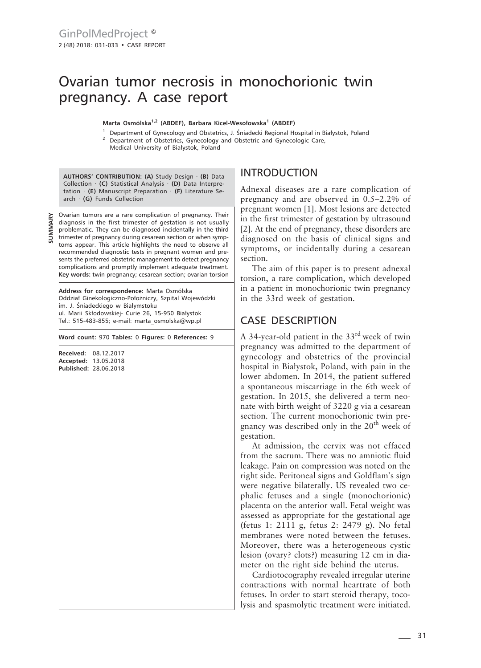# Ovarian tumor necrosis in monochorionic twin pregnancy. A case report

**Marta Osmólska1,2 (ABDEF), Barbara Kicel-Wesołowska1 (ABDEF)**

<sup>1</sup> Department of Gynecology and Obstetrics, J. Śniadecki Regional Hospital in Białystok, Poland <sup>2</sup> Department of Obstetrics, Gynecology and Obstetric and Gynecologic Care, Medical University of Białystok, Poland

**AUTHORS' CONTRIBUTION: (A)** Study Design · **(B)** Data Collection · **(C)** Statistical Analysis · **(D)** Data Interpretation · **(E)** Manuscript Preparation · **(F)** Literature Search · **(G)** Funds Collection

**SUMMARY**

Ovarian tumors are a rare complication of pregnancy. Their diagnosis in the first trimester of gestation is not usually problematic. They can be diagnosed incidentally in the third trimester of pregnancy during cesarean section or when symptoms appear. This article highlights the need to observe all recommended diagnostic tests in pregnant women and presents the preferred obstetric management to detect pregnancy complications and promptly implement adequate treatment. **Key words:** twin pregnancy; cesarean section; ovarian torsion

**Address for correspondence:** Marta Osmólska Oddział Ginekologiczno-Położniczy, Szpital Wojewódzki im. J. Śniadeckiego w Białymstoku ul. Marii Skłodowskiej- Curie 26, 15-950 Białystok Tel.: 515-483-855; e-mail: marta\_osmolska@wp.pl

**Word count:** 970 **Tables:** 0 **Figures:** 0 **References:** 9

**Received:** 08.12.2017 **Accepted:** 13.05.2018 **Published:** 28.06.2018

## INTRODUCTION

Adnexal diseases are a rare complication of pregnancy and are observed in 0.5–2.2% of pregnant women [1]. Most lesions are detected in the first trimester of gestation by ultrasound [2]. At the end of pregnancy, these disorders are diagnosed on the basis of clinical signs and symptoms, or incidentally during a cesarean section.

The aim of this paper is to present adnexal torsion, a rare complication, which developed in a patient in monochorionic twin pregnancy in the 33rd week of gestation.

### CASE DESCRIPTION

A 34-year-old patient in the  $33<sup>rd</sup>$  week of twin pregnancy was admitted to the department of gynecology and obstetrics of the provincial hospital in Białystok, Poland, with pain in the lower abdomen. In 2014, the patient suffered a spontaneous miscarriage in the 6th week of gestation. In 2015, she delivered a term neonate with birth weight of 3220 g via a cesarean section. The current monochorionic twin pregnancy was described only in the  $20<sup>th</sup>$  week of gestation.

At admission, the cervix was not effaced from the sacrum. There was no amniotic fluid leakage. Pain on compression was noted on the right side. Peritoneal signs and Goldflam's sign were negative bilaterally. US revealed two cephalic fetuses and a single (monochorionic) placenta on the anterior wall. Fetal weight was assessed as appropriate for the gestational age (fetus 1: 2111 g, fetus 2: 2479 g). No fetal membranes were noted between the fetuses. Moreover, there was a heterogeneous cystic lesion (ovary? clots?) measuring 12 cm in diameter on the right side behind the uterus.

Cardiotocography revealed irregular uterine contractions with normal heartrate of both fetuses. In order to start steroid therapy, tocolysis and spasmolytic treatment were initiated.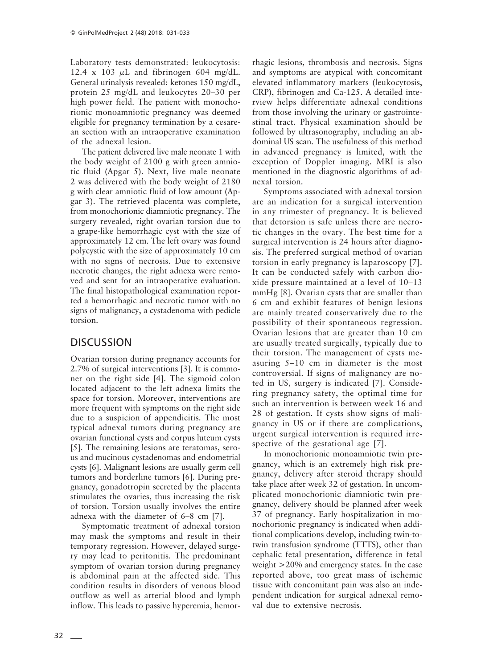Laboratory tests demonstrated: leukocytosis: 12.4 x 103  $\mu$ L and fibrinogen 604 mg/dL. General urinalysis revealed: ketones 150 mg/dL, protein 25 mg/dL and leukocytes 20–30 per high power field. The patient with monochorionic monoamniotic pregnancy was deemed eligible for pregnancy termination by a cesarean section with an intraoperative examination of the adnexal lesion.

The patient delivered live male neonate 1 with the body weight of 2100 g with green amniotic fluid (Apgar 5). Next, live male neonate 2 was delivered with the body weight of 2180 g with clear amniotic fluid of low amount (Apgar 3). The retrieved placenta was complete, from monochorionic diamniotic pregnancy. The surgery revealed, right ovarian torsion due to a grape-like hemorrhagic cyst with the size of approximately 12 cm. The left ovary was found polycystic with the size of approximately 10 cm with no signs of necrosis. Due to extensive necrotic changes, the right adnexa were removed and sent for an intraoperative evaluation. The final histopathological examination reported a hemorrhagic and necrotic tumor with no signs of malignancy, a cystadenoma with pedicle torsion.

#### **DISCUSSION**

Ovarian torsion during pregnancy accounts for 2.7% of surgical interventions [3]. It is commoner on the right side [4]. The sigmoid colon located adjacent to the left adnexa limits the space for torsion. Moreover, interventions are more frequent with symptoms on the right side due to a suspicion of appendicitis. The most typical adnexal tumors during pregnancy are ovarian functional cysts and corpus luteum cysts [5]. The remaining lesions are teratomas, serous and mucinous cystadenomas and endometrial cysts [6]. Malignant lesions are usually germ cell tumors and borderline tumors [6]. During pregnancy, gonadotropin secreted by the placenta stimulates the ovaries, thus increasing the risk of torsion. Torsion usually involves the entire adnexa with the diameter of 6–8 cm [7].

Symptomatic treatment of adnexal torsion may mask the symptoms and result in their temporary regression. However, delayed surgery may lead to peritonitis. The predominant symptom of ovarian torsion during pregnancy is abdominal pain at the affected side. This condition results in disorders of venous blood outflow as well as arterial blood and lymph inflow. This leads to passive hyperemia, hemorrhagic lesions, thrombosis and necrosis. Signs and symptoms are atypical with concomitant elevated inflammatory markers (leukocytosis, CRP), fibrinogen and Ca-125. A detailed interview helps differentiate adnexal conditions from those involving the urinary or gastrointestinal tract. Physical examination should be followed by ultrasonography, including an abdominal US scan. The usefulness of this method in advanced pregnancy is limited, with the exception of Doppler imaging. MRI is also mentioned in the diagnostic algorithms of adnexal torsion.

Symptoms associated with adnexal torsion are an indication for a surgical intervention in any trimester of pregnancy. It is believed that detorsion is safe unless there are necrotic changes in the ovary. The best time for a surgical intervention is 24 hours after diagnosis. The preferred surgical method of ovarian torsion in early pregnancy is laparoscopy [7]. It can be conducted safely with carbon dioxide pressure maintained at a level of 10–13 mmHg [8]. Ovarian cysts that are smaller than 6 cm and exhibit features of benign lesions are mainly treated conservatively due to the possibility of their spontaneous regression. Ovarian lesions that are greater than 10 cm are usually treated surgically, typically due to their torsion. The management of cysts measuring 5–10 cm in diameter is the most controversial. If signs of malignancy are noted in US, surgery is indicated [7]. Considering pregnancy safety, the optimal time for such an intervention is between week 16 and 28 of gestation. If cysts show signs of malignancy in US or if there are complications, urgent surgical intervention is required irrespective of the gestational age [7].

In monochorionic monoamniotic twin pregnancy, which is an extremely high risk pregnancy, delivery after steroid therapy should take place after week 32 of gestation. In uncomplicated monochorionic diamniotic twin pregnancy, delivery should be planned after week 37 of pregnancy. Early hospitalization in monochorionic pregnancy is indicated when additional complications develop, including twin-totwin transfusion syndrome (TTTS), other than cephalic fetal presentation, difference in fetal weight >20% and emergency states. In the case reported above, too great mass of ischemic tissue with concomitant pain was also an independent indication for surgical adnexal removal due to extensive necrosis.